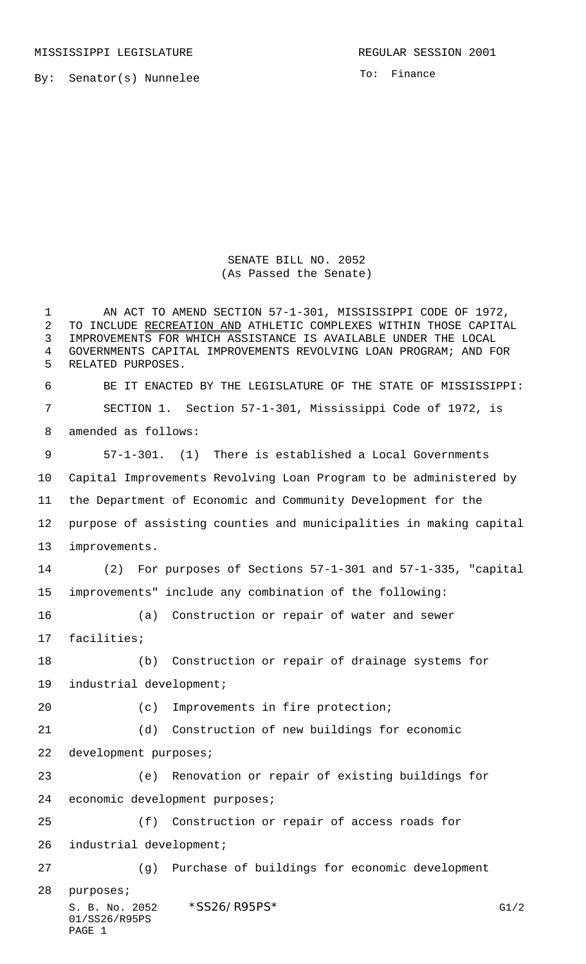MISSISSIPPI LEGISLATURE **REGULAR SESSION 2001** 

By: Senator(s) Nunnelee

To: Finance

SENATE BILL NO. 2052 (As Passed the Senate)

S. B. No. 2052 \* SS26/R95PS\* G1/2 01/SS26/R95PS AN ACT TO AMEND SECTION 57-1-301, MISSISSIPPI CODE OF 1972, 2 TO INCLUDE RECREATION AND ATHLETIC COMPLEXES WITHIN THOSE CAPITAL IMPROVEMENTS FOR WHICH ASSISTANCE IS AVAILABLE UNDER THE LOCAL GOVERNMENTS CAPITAL IMPROVEMENTS REVOLVING LOAN PROGRAM; AND FOR RELATED PURPOSES. BE IT ENACTED BY THE LEGISLATURE OF THE STATE OF MISSISSIPPI: SECTION 1. Section 57-1-301, Mississippi Code of 1972, is amended as follows: 57-1-301. (1) There is established a Local Governments Capital Improvements Revolving Loan Program to be administered by the Department of Economic and Community Development for the purpose of assisting counties and municipalities in making capital improvements. (2) For purposes of Sections 57-1-301 and 57-1-335, "capital improvements" include any combination of the following: (a) Construction or repair of water and sewer facilities; (b) Construction or repair of drainage systems for industrial development; 20 (c) Improvements in fire protection; (d) Construction of new buildings for economic development purposes; (e) Renovation or repair of existing buildings for economic development purposes; (f) Construction or repair of access roads for industrial development; (g) Purchase of buildings for economic development purposes;

PAGE 1